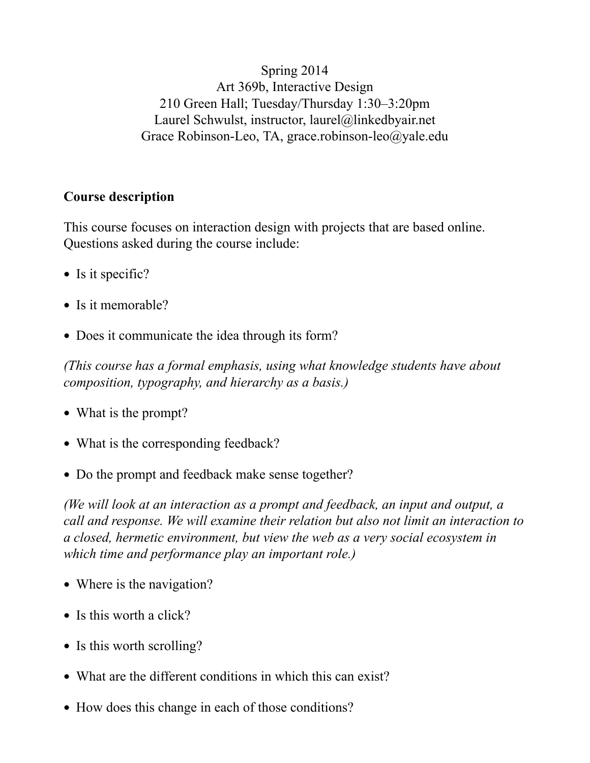Spring 2014 Art 369b, Interactive Design 210 Green Hall; Tuesday/Thursday 1:30–3:20pm Laurel Schwulst, instructor, laurel@linkedbyair.net Grace Robinson-Leo, TA, grace.robinson-leo@yale.edu

#### **Course description**

This course focuses on interaction design with projects that are based online. Questions asked during the course include:

- Is it specific?
- Is it memorable?
- Does it communicate the idea through its form?

*(This course has a formal emphasis, using what knowledge students have about composition, typography, and hierarchy as a basis.)*

- What is the prompt?
- What is the corresponding feedback?
- Do the prompt and feedback make sense together?

*(We will look at an interaction as a prompt and feedback, an input and output, a call and response. We will examine their relation but also not limit an interaction to a closed, hermetic environment, but view the web as a very social ecosystem in which time and performance play an important role.)*

- Where is the navigation?
- Is this worth a click?
- Is this worth scrolling?
- What are the different conditions in which this can exist?
- How does this change in each of those conditions?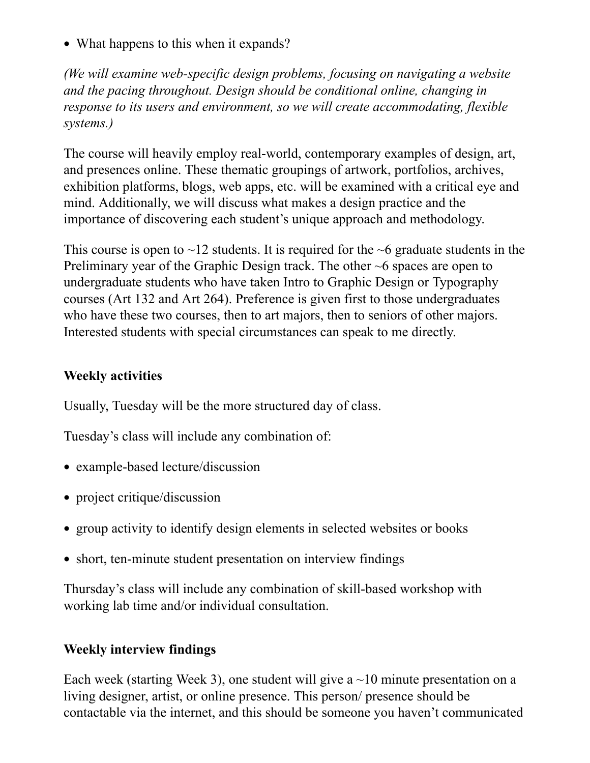• What happens to this when it expands?

*(We will examine web-specific design problems, focusing on navigating a website and the pacing throughout. Design should be conditional online, changing in response to its users and environment, so we will create accommodating, flexible systems.)*

The course will heavily employ real-world, contemporary examples of design, art, and presences online. These thematic groupings of artwork, portfolios, archives, exhibition platforms, blogs, web apps, etc. will be examined with a critical eye and mind. Additionally, we will discuss what makes a design practice and the importance of discovering each student's unique approach and methodology.

This course is open to  $\sim$ 12 students. It is required for the  $\sim$ 6 graduate students in the Preliminary year of the Graphic Design track. The other ~6 spaces are open to undergraduate students who have taken Intro to Graphic Design or Typography courses (Art 132 and Art 264). Preference is given first to those undergraduates who have these two courses, then to art majors, then to seniors of other majors. Interested students with special circumstances can speak to me directly.

### **Weekly activities**

Usually, Tuesday will be the more structured day of class.

Tuesday's class will include any combination of:

- example-based lecture/discussion
- project critique/discussion
- group activity to identify design elements in selected websites or books
- short, ten-minute student presentation on interview findings

Thursday's class will include any combination of skill-based workshop with working lab time and/or individual consultation.

## **Weekly interview findings**

Each week (starting Week 3), one student will give a  $\sim$ 10 minute presentation on a living designer, artist, or online presence. This person/ presence should be contactable via the internet, and this should be someone you haven't communicated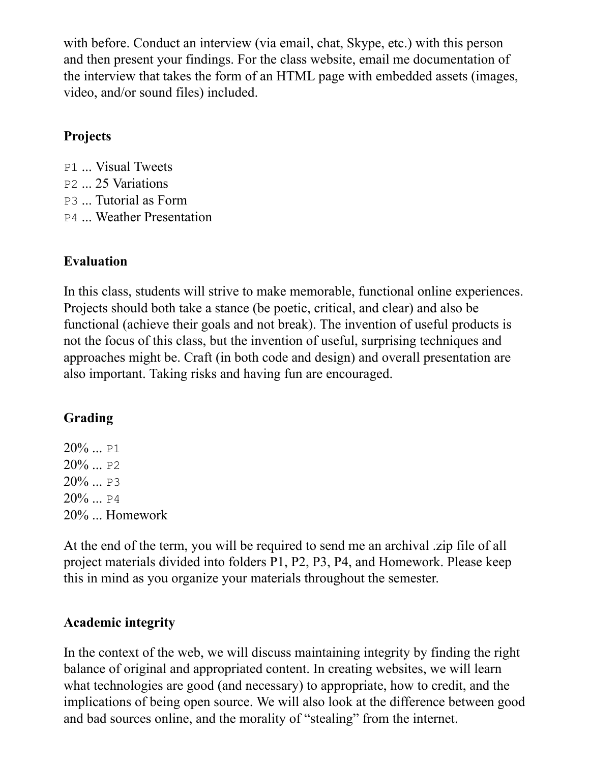with before. Conduct an interview (via email, chat, Skype, etc.) with this person and then present your findings. For the class website, email me documentation of the interview that takes the form of an HTML page with embedded assets (images, video, and/or sound files) included.

## **Projects**

- P1 ... Visual Tweets
- P2 ... 25 Variations
- P3 ... Tutorial as Form
- P4 ... Weather Presentation

## **Evaluation**

In this class, students will strive to make memorable, functional online experiences. Projects should both take a stance (be poetic, critical, and clear) and also be functional (achieve their goals and not break). The invention of useful products is not the focus of this class, but the invention of useful, surprising techniques and approaches might be. Craft (in both code and design) and overall presentation are also important. Taking risks and having fun are encouraged.

# **Grading**

20% ... P1  $20\%$  ... P2 20% ... P3  $20\%$  ... P4 20% ... Homework

At the end of the term, you will be required to send me an archival .zip file of all project materials divided into folders P1, P2, P3, P4, and Homework. Please keep this in mind as you organize your materials throughout the semester.

## **Academic integrity**

In the context of the web, we will discuss maintaining integrity by finding the right balance of original and appropriated content. In creating websites, we will learn what technologies are good (and necessary) to appropriate, how to credit, and the implications of being open source. We will also look at the difference between good and bad sources online, and the morality of "stealing" from the internet.